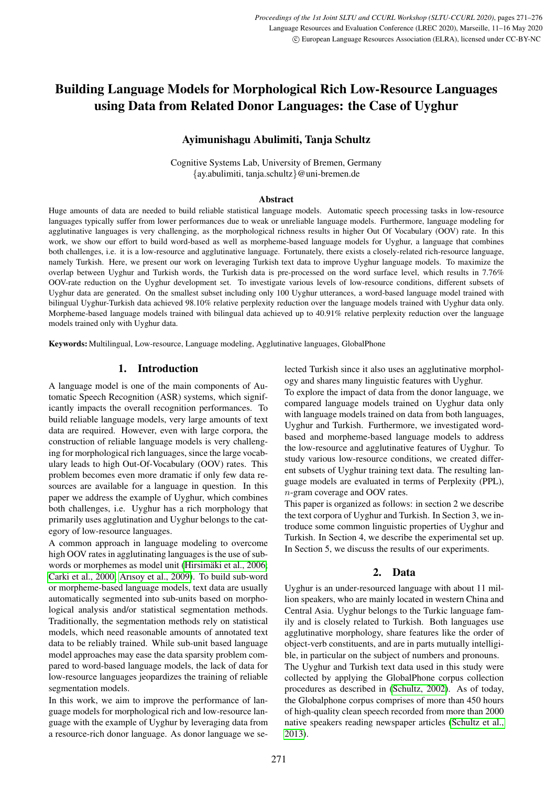# Building Language Models for Morphological Rich Low-Resource Languages using Data from Related Donor Languages: the Case of Uyghur

# Ayimunishagu Abulimiti, Tanja Schultz

Cognitive Systems Lab, University of Bremen, Germany {ay.abulimiti, tanja.schultz}@uni-bremen.de

#### **Abstract**

Huge amounts of data are needed to build reliable statistical language models. Automatic speech processing tasks in low-resource languages typically suffer from lower performances due to weak or unreliable language models. Furthermore, language modeling for agglutinative languages is very challenging, as the morphological richness results in higher Out Of Vocabulary (OOV) rate. In this work, we show our effort to build word-based as well as morpheme-based language models for Uyghur, a language that combines both challenges, i.e. it is a low-resource and agglutinative language. Fortunately, there exists a closely-related rich-resource language, namely Turkish. Here, we present our work on leveraging Turkish text data to improve Uyghur language models. To maximize the overlap between Uyghur and Turkish words, the Turkish data is pre-processed on the word surface level, which results in 7.76% OOV-rate reduction on the Uyghur development set. To investigate various levels of low-resource conditions, different subsets of Uyghur data are generated. On the smallest subset including only 100 Uyghur utterances, a word-based language model trained with bilingual Uyghur-Turkish data achieved 98.10% relative perplexity reduction over the language models trained with Uyghur data only. Morpheme-based language models trained with bilingual data achieved up to 40.91% relative perplexity reduction over the language models trained only with Uyghur data.

Keywords: Multilingual, Low-resource, Language modeling, Agglutinative languages, GlobalPhone

# 1. Introduction

A language model is one of the main components of Automatic Speech Recognition (ASR) systems, which significantly impacts the overall recognition performances. To build reliable language models, very large amounts of text data are required. However, even with large corpora, the construction of reliable language models is very challenging for morphological rich languages, since the large vocabulary leads to high Out-Of-Vocabulary (OOV) rates. This problem becomes even more dramatic if only few data resources are available for a language in question. In this paper we address the example of Uyghur, which combines both challenges, i.e. Uyghur has a rich morphology that primarily uses agglutination and Uyghur belongs to the category of low-resource languages.

A common approach in language modeling to overcome high OOV rates in agglutinating languages is the use of subwords or morphemes as model unit (Hirsimäki et al., 2006; [Carki et al., 2000;](#page-5-1) [Arısoy et al., 2009\)](#page-5-2). To build sub-word or morpheme-based language models, text data are usually automatically segmented into sub-units based on morphological analysis and/or statistical segmentation methods. Traditionally, the segmentation methods rely on statistical models, which need reasonable amounts of annotated text data to be reliably trained. While sub-unit based language model approaches may ease the data sparsity problem compared to word-based language models, the lack of data for low-resource languages jeopardizes the training of reliable segmentation models.

In this work, we aim to improve the performance of language models for morphological rich and low-resource language with the example of Uyghur by leveraging data from a resource-rich donor language. As donor language we selected Turkish since it also uses an agglutinative morphology and shares many linguistic features with Uyghur.

To explore the impact of data from the donor language, we compared language models trained on Uyghur data only with language models trained on data from both languages, Uyghur and Turkish. Furthermore, we investigated wordbased and morpheme-based language models to address the low-resource and agglutinative features of Uyghur. To study various low-resource conditions, we created different subsets of Uyghur training text data. The resulting language models are evaluated in terms of Perplexity (PPL), n-gram coverage and OOV rates.

This paper is organized as follows: in section 2 we describe the text corpora of Uyghur and Turkish. In Section 3, we introduce some common linguistic properties of Uyghur and Turkish. In Section 4, we describe the experimental set up. In Section 5, we discuss the results of our experiments.

# 2. Data

Uyghur is an under-resourced language with about 11 million speakers, who are mainly located in western China and Central Asia. Uyghur belongs to the Turkic language family and is closely related to Turkish. Both languages use agglutinative morphology, share features like the order of object-verb constituents, and are in parts mutually intelligible, in particular on the subject of numbers and pronouns. The Uyghur and Turkish text data used in this study were collected by applying the GlobalPhone corpus collection procedures as described in [\(Schultz, 2002\)](#page-5-3). As of today, the Globalphone corpus comprises of more than 450 hours of high-quality clean speech recorded from more than 2000 native speakers reading newspaper articles [\(Schultz et al.,](#page-5-4) [2013\)](#page-5-4).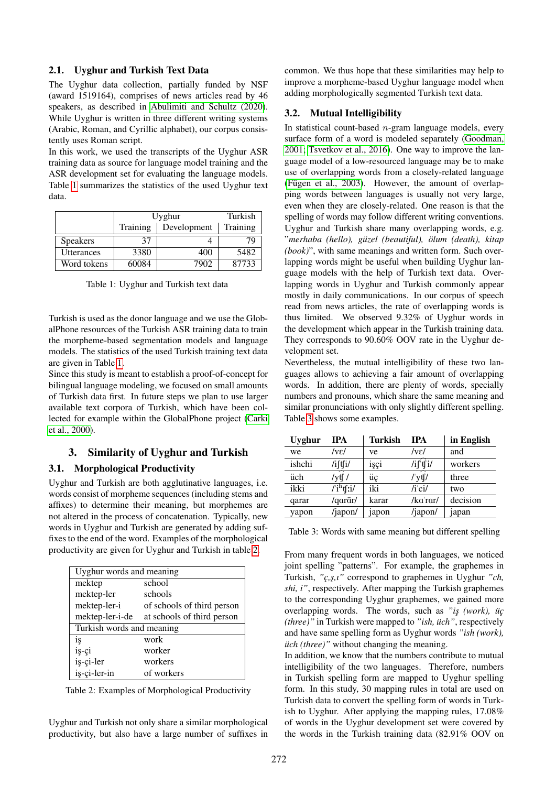### 2.1. Uyghur and Turkish Text Data

The Uyghur data collection, partially funded by NSF (award 1519164), comprises of news articles read by 46 speakers, as described in [Abulimiti and Schultz \(2020\)](#page-5-5). While Uyghur is written in three different writing systems (Arabic, Roman, and Cyrillic alphabet), our corpus consistently uses Roman script.

In this work, we used the transcripts of the Uyghur ASR training data as source for language model training and the ASR development set for evaluating the language models. Table [1](#page-1-0) summarizes the statistics of the used Uyghur text data.

|                   | Uyghur   |             | Turkish  |
|-------------------|----------|-------------|----------|
|                   | Training | Development | Training |
| <b>Speakers</b>   | 37       |             | 79       |
| <b>Utterances</b> | 3380     | 400         | 5482     |
| Word tokens       | 60084    | 7902        | 87733    |

<span id="page-1-0"></span>Table 1: Uyghur and Turkish text data

Turkish is used as the donor language and we use the GlobalPhone resources of the Turkish ASR training data to train the morpheme-based segmentation models and language models. The statistics of the used Turkish training text data are given in Table [1.](#page-1-0)

Since this study is meant to establish a proof-of-concept for bilingual language modeling, we focused on small amounts of Turkish data first. In future steps we plan to use larger available text corpora of Turkish, which have been collected for example within the GlobalPhone project [\(Carki](#page-5-1) [et al., 2000\)](#page-5-1).

# 3. Similarity of Uyghur and Turkish

# 3.1. Morphological Productivity

Uyghur and Turkish are both agglutinative languages, i.e. words consist of morpheme sequences (including stems and affixes) to determine their meaning, but morphemes are not altered in the process of concatenation. Typically, new words in Uyghur and Turkish are generated by adding suffixes to the end of the word. Examples of the morphological productivity are given for Uyghur and Turkish in table [2.](#page-1-1)

| Uyghur words and meaning  |                            |  |  |  |
|---------------------------|----------------------------|--|--|--|
| mektep                    | school                     |  |  |  |
| mektep-ler                | schools                    |  |  |  |
| mektep-ler-i              | of schools of third person |  |  |  |
| mektep-ler-i-de           | at schools of third person |  |  |  |
| Turkish words and meaning |                            |  |  |  |
| iş                        | work                       |  |  |  |
| iş-çi                     | worker                     |  |  |  |
| iş-çi-ler                 | workers                    |  |  |  |
| is-ci-ler-in              | of workers                 |  |  |  |

<span id="page-1-1"></span>Table 2: Examples of Morphological Productivity

Uyghur and Turkish not only share a similar morphological productivity, but also have a large number of suffixes in common. We thus hope that these similarities may help to improve a morpheme-based Uyghur language model when adding morphologically segmented Turkish text data.

# 3.2. Mutual Intelligibility

In statistical count-based  $n$ -gram language models, every surface form of a word is modeled separately [\(Goodman,](#page-5-6) [2001;](#page-5-6) [Tsvetkov et al., 2016\)](#page-5-7). One way to improve the language model of a low-resourced language may be to make use of overlapping words from a closely-related language (Fügen et al.,  $2003$ ). However, the amount of overlapping words between languages is usually not very large, even when they are closely-related. One reason is that the spelling of words may follow different writing conventions. Uyghur and Turkish share many overlapping words, e.g. "*merhaba (hello), guzel (beautiful), ¨ olum (death), kitap ¨ (book)*", with same meanings and written form. Such overlapping words might be useful when building Uyghur language models with the help of Turkish text data. Overlapping words in Uyghur and Turkish commonly appear mostly in daily communications. In our corpus of speech read from news articles, the rate of overlapping words is thus limited. We observed 9.32% of Uyghur words in the development which appear in the Turkish training data. They corresponds to 90.60% OOV rate in the Uyghur development set.

Nevertheless, the mutual intelligibility of these two languages allows to achieving a fair amount of overlapping words. In addition, there are plenty of words, specially numbers and pronouns, which share the same meaning and similar pronunciations with only slightly different spelling. Table [3](#page-1-2) shows some examples.

| Uyghur | <b>IPA</b>             | Turkish | <b>TPA</b>             | in English |
|--------|------------------------|---------|------------------------|------------|
| we     | /vɛ/                   | ve      | /vɛ/                   | and        |
| ishchi | /iftfi/                | işçi    | /if'tfi/               | workers    |
| üch    | /vtf /                 | üç      | $^{\prime\prime}$ ytf/ | three      |
| ikki   | /ˈi <sup>h</sup> tʃːi/ | iki     | $/i$ ci/               | two        |
| qarar  | /qarār/                | karar   | /kaˈrar/               | decision   |
| yapon  | /japon/                | japon   | /japon/                | japan      |

<span id="page-1-2"></span>Table 3: Words with same meaning but different spelling

From many frequent words in both languages, we noticed joint spelling "patterns". For example, the graphemes in Turkish, *"c¸,s¸,ı"* correspond to graphemes in Uyghur *"ch, shi, i"*, respectively. After mapping the Turkish graphemes to the corresponding Uyghur graphemes, we gained more overlapping words. The words, such as "is (work),  $\ddot{u}$ c *(three)"* in Turkish were mapped to *"ish, uch" ¨* , respectively and have same spelling form as Uyghur words *"ish (work), uch (three)*" without changing the meaning.

In addition, we know that the numbers contribute to mutual intelligibility of the two languages. Therefore, numbers in Turkish spelling form are mapped to Uyghur spelling form. In this study, 30 mapping rules in total are used on Turkish data to convert the spelling form of words in Turkish to Uyghur. After applying the mapping rules, 17.08% of words in the Uyghur development set were covered by the words in the Turkish training data (82.91% OOV on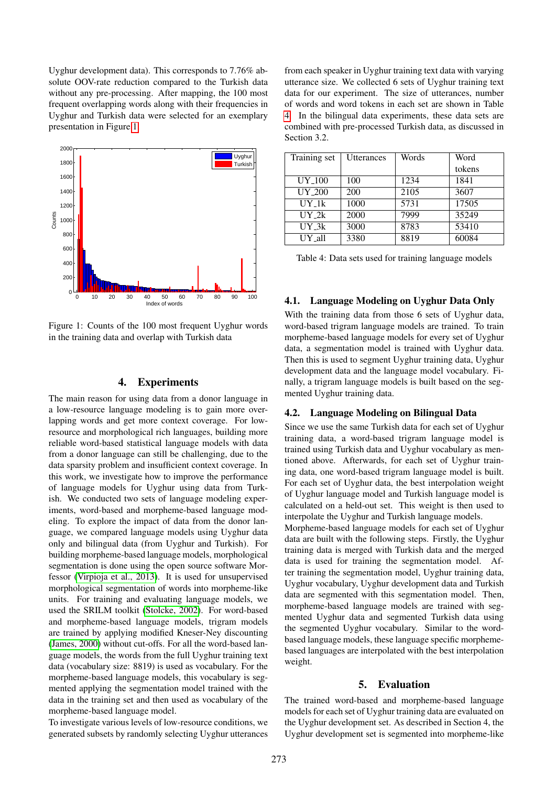Uyghur development data). This corresponds to 7.76% absolute OOV-rate reduction compared to the Turkish data without any pre-processing. After mapping, the 100 most frequent overlapping words along with their frequencies in Uyghur and Turkish data were selected for an exemplary presentation in Figure [1.](#page-2-0)



<span id="page-2-0"></span>Figure 1: Counts of the 100 most frequent Uyghur words in the training data and overlap with Turkish data

#### 4. Experiments

The main reason for using data from a donor language in a low-resource language modeling is to gain more overlapping words and get more context coverage. For lowresource and morphological rich languages, building more reliable word-based statistical language models with data from a donor language can still be challenging, due to the data sparsity problem and insufficient context coverage. In this work, we investigate how to improve the performance of language models for Uyghur using data from Turkish. We conducted two sets of language modeling experiments, word-based and morpheme-based language modeling. To explore the impact of data from the donor language, we compared language models using Uyghur data only and bilingual data (from Uyghur and Turkish). For building morpheme-based language models, morphological segmentation is done using the open source software Morfessor [\(Virpioja et al., 2013\)](#page-5-9). It is used for unsupervised morphological segmentation of words into morpheme-like units. For training and evaluating language models, we used the SRILM toolkit [\(Stolcke, 2002\)](#page-5-10). For word-based and morpheme-based language models, trigram models are trained by applying modified Kneser-Ney discounting [\(James, 2000\)](#page-5-11) without cut-offs. For all the word-based language models, the words from the full Uyghur training text data (vocabulary size: 8819) is used as vocabulary. For the morpheme-based language models, this vocabulary is segmented applying the segmentation model trained with the data in the training set and then used as vocabulary of the morpheme-based language model.

To investigate various levels of low-resource conditions, we generated subsets by randomly selecting Uyghur utterances

from each speaker in Uyghur training text data with varying utterance size. We collected 6 sets of Uyghur training text data for our experiment. The size of utterances, number of words and word tokens in each set are shown in Table [4.](#page-2-1) In the bilingual data experiments, these data sets are combined with pre-processed Turkish data, as discussed in Section 3.2.

| Training set     | <b>Utterances</b> | Words | Word   |
|------------------|-------------------|-------|--------|
|                  |                   |       | tokens |
| UY 100           | 100               | 1234  | 1841   |
| UY 200           | 200               | 2105  | 3607   |
| UY <sub>1k</sub> | 1000              | 5731  | 17505  |
| UY <sub>2k</sub> | 2000              | 7999  | 35249  |
| UY <sub>3k</sub> | 3000              | 8783  | 53410  |
| UY all           | 3380              | 8819  | 60084  |

<span id="page-2-1"></span>Table 4: Data sets used for training language models

## 4.1. Language Modeling on Uyghur Data Only

With the training data from those 6 sets of Uyghur data, word-based trigram language models are trained. To train morpheme-based language models for every set of Uyghur data, a segmentation model is trained with Uyghur data. Then this is used to segment Uyghur training data, Uyghur development data and the language model vocabulary. Finally, a trigram language models is built based on the segmented Uyghur training data.

#### 4.2. Language Modeling on Bilingual Data

Since we use the same Turkish data for each set of Uyghur training data, a word-based trigram language model is trained using Turkish data and Uyghur vocabulary as mentioned above. Afterwards, for each set of Uyghur training data, one word-based trigram language model is built. For each set of Uyghur data, the best interpolation weight of Uyghur language model and Turkish language model is calculated on a held-out set. This weight is then used to interpolate the Uyghur and Turkish language models. Morpheme-based language models for each set of Uyghur

data are built with the following steps. Firstly, the Uyghur training data is merged with Turkish data and the merged data is used for training the segmentation model. After training the segmentation model, Uyghur training data, Uyghur vocabulary, Uyghur development data and Turkish data are segmented with this segmentation model. Then, morpheme-based language models are trained with segmented Uyghur data and segmented Turkish data using the segmented Uyghur vocabulary. Similar to the wordbased language models, these language specific morphemebased languages are interpolated with the best interpolation weight.

#### 5. Evaluation

The trained word-based and morpheme-based language models for each set of Uyghur training data are evaluated on the Uyghur development set. As described in Section 4, the Uyghur development set is segmented into morpheme-like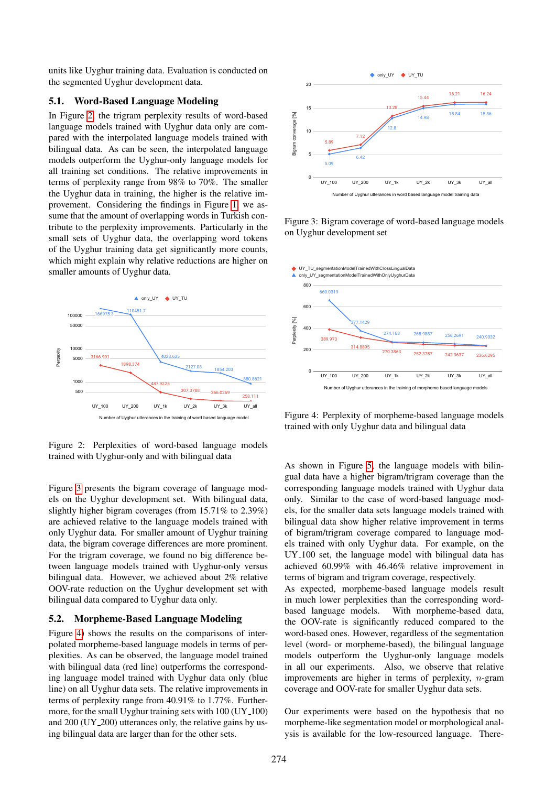units like Uyghur training data. Evaluation is conducted on the segmented Uyghur development data.

### 5.1. Word-Based Language Modeling

In Figure [2,](#page-3-0) the trigram perplexity results of word-based language models trained with Uyghur data only are compared with the interpolated language models trained with bilingual data. As can be seen, the interpolated language models outperform the Uyghur-only language models for all training set conditions. The relative improvements in terms of perplexity range from 98% to 70%. The smaller the Uyghur data in training, the higher is the relative improvement. Considering the findings in Figure [1,](#page-2-0) we assume that the amount of overlapping words in Turkish contribute to the perplexity improvements. Particularly in the small sets of Uyghur data, the overlapping word tokens of the Uyghur training data get significantly more counts, which might explain why relative reductions are higher on smaller amounts of Uyghur data.



<span id="page-3-0"></span>Figure 2: Perplexities of word-based language models trained with Uyghur-only and with bilingual data

Figure [3](#page-3-1) presents the bigram coverage of language models on the Uyghur development set. With bilingual data, slightly higher bigram coverages (from 15.71% to 2.39%) are achieved relative to the language models trained with only Uyghur data. For smaller amount of Uyghur training data, the bigram coverage differences are more prominent. For the trigram coverage, we found no big difference between language models trained with Uyghur-only versus bilingual data. However, we achieved about 2% relative OOV-rate reduction on the Uyghur development set with bilingual data compared to Uyghur data only.

#### 5.2. Morpheme-Based Language Modeling

Figure [4\)](#page-3-2) shows the results on the comparisons of interpolated morpheme-based language models in terms of perplexities. As can be observed, the language model trained with bilingual data (red line) outperforms the corresponding language model trained with Uyghur data only (blue line) on all Uyghur data sets. The relative improvements in terms of perplexity range from 40.91% to 1.77%. Furthermore, for the small Uyghur training sets with 100 (UY<sub>-100)</sub> and 200 (UY 200) utterances only, the relative gains by using bilingual data are larger than for the other sets.



<span id="page-3-1"></span>Figure 3: Bigram coverage of word-based language models on Uyghur development set



<span id="page-3-2"></span>Figure 4: Perplexity of morpheme-based language models trained with only Uyghur data and bilingual data

As shown in Figure [5,](#page-4-0) the language models with bilingual data have a higher bigram/trigram coverage than the corresponding language models trained with Uyghur data only. Similar to the case of word-based language models, for the smaller data sets language models trained with bilingual data show higher relative improvement in terms of bigram/trigram coverage compared to language models trained with only Uyghur data. For example, on the UY 100 set, the language model with bilingual data has achieved 60.99% with 46.46% relative improvement in terms of bigram and trigram coverage, respectively.

As expected, morpheme-based language models result in much lower perplexities than the corresponding wordbased language models. With morpheme-based data, the OOV-rate is significantly reduced compared to the word-based ones. However, regardless of the segmentation level (word- or morpheme-based), the bilingual language models outperform the Uyghur-only language models in all our experiments. Also, we observe that relative improvements are higher in terms of perplexity, n-gram coverage and OOV-rate for smaller Uyghur data sets.

Our experiments were based on the hypothesis that no morpheme-like segmentation model or morphological analysis is available for the low-resourced language. There-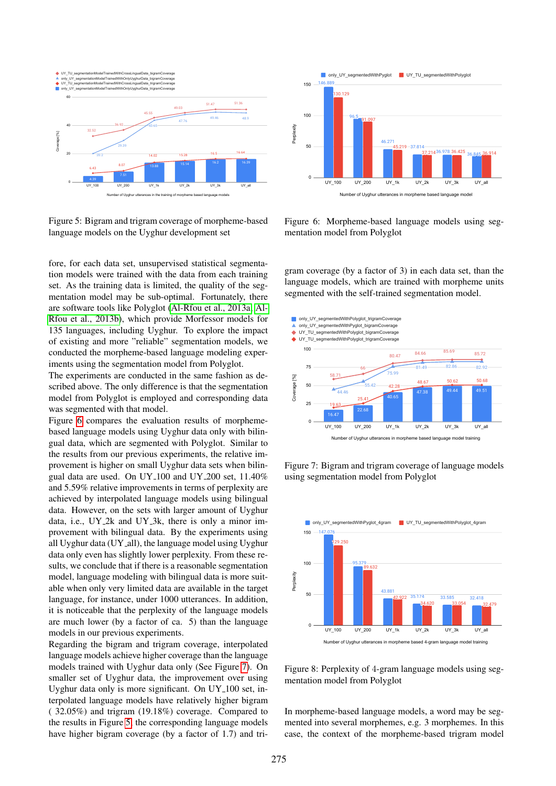

<span id="page-4-0"></span>Figure 5: Bigram and trigram coverage of morpheme-based language models on the Uyghur development set

fore, for each data set, unsupervised statistical segmentation models were trained with the data from each training set. As the training data is limited, the quality of the segmentation model may be sub-optimal. Fortunately, there are software tools like Polyglot [\(Al-Rfou et al., 2013a;](#page-5-12) [Al-](#page-5-13)[Rfou et al., 2013b\)](#page-5-13), which provide Morfessor models for 135 languages, including Uyghur. To explore the impact of existing and more "reliable" segmentation models, we conducted the morpheme-based language modeling experiments using the segmentation model from Polyglot.

The experiments are conducted in the same fashion as described above. The only difference is that the segmentation model from Polyglot is employed and corresponding data was segmented with that model.

Figure [6](#page-4-1) compares the evaluation results of morphemebased language models using Uyghur data only with bilingual data, which are segmented with Polyglot. Similar to the results from our previous experiments, the relative improvement is higher on small Uyghur data sets when bilingual data are used. On UY 100 and UY 200 set, 11.40% and 5.59% relative improvements in terms of perplexity are achieved by interpolated language models using bilingual data. However, on the sets with larger amount of Uyghur data, i.e., UY 2k and UY 3k, there is only a minor improvement with bilingual data. By the experiments using all Uyghur data (UY\_all), the language model using Uyghur data only even has slightly lower perplexity. From these results, we conclude that if there is a reasonable segmentation model, language modeling with bilingual data is more suitable when only very limited data are available in the target language, for instance, under 1000 utterances. In addition, it is noticeable that the perplexity of the language models are much lower (by a factor of ca. 5) than the language models in our previous experiments.

Regarding the bigram and trigram coverage, interpolated language models achieve higher coverage than the language models trained with Uyghur data only (See Figure [7\)](#page-4-2). On smaller set of Uyghur data, the improvement over using Uyghur data only is more significant. On UY 100 set, interpolated language models have relatively higher bigram ( 32.05%) and trigram (19.18%) coverage. Compared to the results in Figure [5,](#page-4-0) the corresponding language models have higher bigram coverage (by a factor of 1.7) and tri-



<span id="page-4-1"></span>Figure 6: Morpheme-based language models using segmentation model from Polyglot

gram coverage (by a factor of 3) in each data set, than the language models, which are trained with morpheme units segmented with the self-trained segmentation model.



<span id="page-4-2"></span>Figure 7: Bigram and trigram coverage of language models using segmentation model from Polyglot



<span id="page-4-3"></span>Figure 8: Perplexity of 4-gram language models using segmentation model from Polyglot

In morpheme-based language models, a word may be segmented into several morphemes, e.g. 3 morphemes. In this case, the context of the morpheme-based trigram model